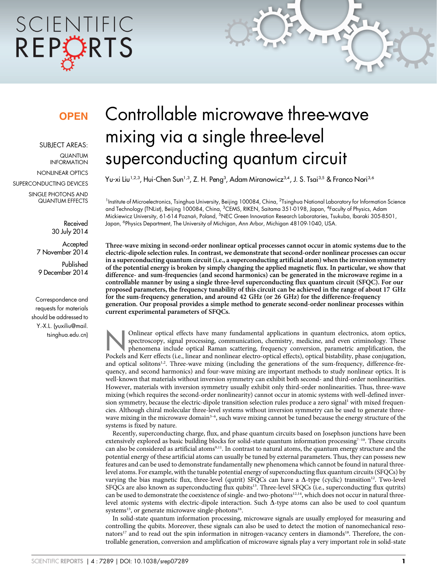# SCIENTIFIC REPORTS

### **OPFN**

SUBJECT AREAS: QUANTUM INFORMATION NONLINEAR OPTICS SUPERCONDUCTING DEVICES

SINGLE PHOTONS AND QUANTUM EFFECTS

> Received 30 July 2014

**Accepted** 7 November 2014 Published 9 December 2014

Correspondence and requests for materials should be addressed to Y.-X.L. [\(yuxiliu@mail.](mailto:yuxiliu@mail.tsinghua.edu.cn) [tsinghua.edu.cn\)](mailto:yuxiliu@mail.tsinghua.edu.cn)

## Controllable microwave three-wave mixing via a single three-level superconducting quantum circuit

Yu-xi Liu<sup>1,2,3</sup>, Hui-Chen Sun<sup>1,3</sup>, Z. H. Peng<sup>3</sup>, Adam Miranowicz<sup>3,4</sup>, J. S. Tsai<sup>3,5</sup> & Franco Nori<sup>3,6</sup>

<sup>1</sup>Institute of Microelectronics, Tsinghua University, Beijing 100084, China, <sup>2</sup>Tsinghua National Laboratory for Information Science and Technology (TNList), Beijing 100084, China, <sup>3</sup>CEMS, RIKEN, Saitama 351-0198, Japan, <sup>4</sup>Faculty of Physics, Adam Mickiewicz University, 61-614 Poznań, Poland, <sup>5</sup>NEC Green Innovation Research Laboratories, Tsukuba, Ibaraki 305-8501, Japan, <sup>6</sup>Physics Department, The University of Michigan, Ann Arbor, Michigan 48109-1040, USA.

Three-wave mixing in second-order nonlinear optical processes cannot occur in atomic systems due to the electric-dipole selection rules. In contrast, we demonstrate that second-order nonlinear processes can occur in a superconducting quantum circuit (i.e., a superconducting artificial atom) when the inversion symmetry of the potential energy is broken by simply changing the applied magnetic flux. In particular, we show that difference- and sum-frequencies (and second harmonics) can be generated in the microwave regime in a controllable manner by using a single three-level superconducting flux quantum circuit (SFQC). For our proposed parameters, the frequency tunability of this circuit can be achieved in the range of about 17 GHz for the sum-frequency generation, and around 42 GHz (or 26 GHz) for the difference-frequency generation. Our proposal provides a simple method to generate second-order nonlinear processes within current experimental parameters of SFQCs.

Onlinear optical effects have many fundamental applications in quantum electronics, atom optics,<br>spectroscopy, signal processing, communication, chemistry, medicine, and even criminology. These<br>phenomena include optical Ra spectroscopy, signal processing, communication, chemistry, medicine, and even criminology. These Pockels and Kerr effects (i.e., linear and nonlinear electro-optical effects), optical bistability, phase conjugation, and optical solitons<sup>1,2</sup>. Three-wave mixing (including the generations of the sum-frequency, difference-frequency, and second harmonics) and four-wave mixing are important methods to study nonlinear optics. It is well-known that materials without inversion symmetry can exhibit both second- and third-order nonlinearities. However, materials with inversion symmetry usually exhibit only third-order nonlinearities. Thus, three-wave mixing (which requires the second-order nonlinearity) cannot occur in atomic systems with well-defined inversion symmetry, because the electric-dipole transition selection rules produce a zero signal<sup>1</sup> with mixed frequencies. Although chiral molecular three-level systems without inversion symmetry can be used to generate threewave mixing in the microwave domain<sup>3-6</sup>, such wave mixing cannot be tuned because the energy structure of the systems is fixed by nature.

Recently, superconducting charge, flux, and phase quantum circuits based on Josephson junctions have been extensively explored as basic building blocks for solid-state quantum information processing<sup>7-10</sup>. These circuits can also be considered as artificial atoms<sup>9,11</sup>. In contrast to natural atoms, the quantum energy structure and the potential energy of these artificial atoms can usually be tuned by external parameters. Thus, they can possess new features and can be used to demonstrate fundamentally new phenomena which cannot be found in natural threelevel atoms. For example, with the tunable potential energy of superconducting flux quantum circuits (SFQCs) by varying the bias magnetic flux, three-level (qutrit) SFQCs can have a  $\Delta$ -type (cyclic) transition<sup>12</sup>. Two-level SFQCs are also known as superconducting flux qubits13. Three-level SFQCs (i.e., superconducting flux qutrits) can be used to demonstrate the coexistence of single- and two-photons<sup>12,14</sup>, which does not occur in natural threelevel atomic systems with electric-dipole interaction. Such  $\Delta$ -type atoms can also be used to cool quantum systems<sup>15</sup>, or generate microwave single-photons<sup>16</sup>.

In solid-state quantum information processing, microwave signals are usually employed for measuring and controlling the qubits. Moreover, these signals can also be used to detect the motion of nanomechanical resonators<sup>17</sup> and to read out the spin information in nitrogen-vacancy centers in diamonds<sup>18</sup>. Therefore, the controllable generation, conversion and amplification of microwave signals play a very important role in solid-state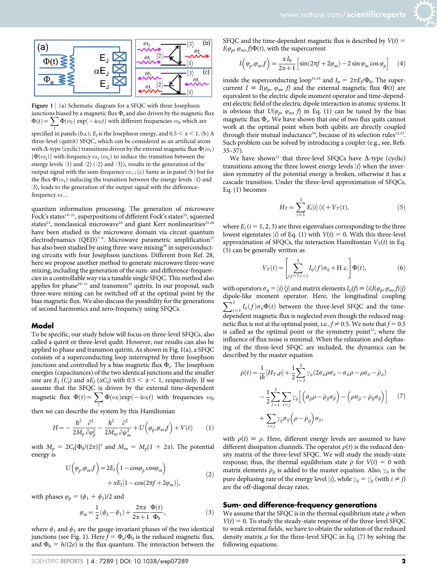

Figure 1 | (a) Schematic diagram for a SFQC with three Josephson junctions biased by a magnetic flux  $\Phi_e$  and also driven by the magnetic flux  $\Phi(t) = \sum \Phi(\omega_l) \exp(-i\omega_l t)$  with different frequencies  $\omega_b$  which are

specified in panels (b,c);  $E_j$  is the Josephson energy, and 0.5  $< \alpha < 1$ . (b) A three-level (qutrit) SFQC, which can be considered as an artificial atom with  $\Delta$ -type (cyclic) transitions driven by the external magnetic flux  $\Phi(\omega_1)$  $[\Phi(\omega_2)]$  with frequency  $\omega_1 (\omega_2)$  to induce the transition between the energy levels  $|1\rangle$  and  $|2\rangle$  ( $|2\rangle$  and  $|3\rangle$ ), results in the generation of the output signal with the sum-frequency  $\omega_+$ ; (c) Same as in panel (b) but for the flux  $\Phi(\omega_1)$  inducing the transition between the energy levels  $|1\rangle$  and  $| 3 \rangle$ , leads to the generation of the output signal with the differencefrequency  $\omega$ <sub>-</sub>.

quantum information processing. The generation of microwave Fock's states<sup>19-21</sup>, superpositions of different Fock's states<sup>22</sup>, squeezed states<sup>23</sup>, nonclassical microwave<sup>24</sup> and giant Kerr nonlinearities<sup>25,26</sup> have been studied in the microwave domain via circuit quantum electrodynamics (QED)<sup>7-9</sup>. Microwave parametric amplification<sup>27</sup> has also been studied by using three-wave mixing<sup>28</sup> in superconducting circuits with four Josephson junctions. Different from Ref. 28, here we propose another method to generate microwave three-wave mixing, including the generation of the sum- and difference-frequencies in a controllable way via a tunable single SFQC. This method also applies for phase<sup>29-31</sup> and transmon<sup>32</sup> qutrits. In our proposal, such three-wave mixing can be switched off at the optimal point by the bias magnetic flux. We also discuss the possibility for the generations of second harmonics and zero-frequency using SFQCs.

#### Model

To be specific, our study below will focus on three-level SFQCs, also called a qutrit or three-level qudit. However, our results can also be applied to phase and transmon qutrits. As shown in Fig. 1(a), a SFQC consists of a superconducting loop interrupted by three Josephson junctions and controlled by a bias magnetic flux  $\Phi_e$ . The Josephson energies (capacitances) of the two identical junctions and the smaller one are  $E_I(C_I)$  and  $\alpha E_I(\alpha C_I)$  with  $0.5 < \alpha < 1$ , respectively. If we assume that the SFQC is driven by the external time-dependent magnetic flux  $\Phi(t) = \sum_{k=1}^{\infty}$ l  $\Phi(\omega_l) \exp(-i\omega_l t)$  with frequencies  $\omega_b$ 

then we can describe the system by this Hamiltonian

$$
H = -\frac{\hbar^2}{2M_p} \frac{\partial^2}{\partial \varphi_p^2} - \frac{\hbar^2}{2M_m} \frac{\partial^2}{\partial \psi_m^2} + U(\varphi_p, \varphi_m, f) + V(t) \qquad (1)
$$

with  $M_p = 2C_J[\Phi_0/(2\pi)]^2$  and  $M_m = M_p(1 + 2\alpha)$ . The potential energy is

$$
U(\varphi_p, \varphi_m f) = 2E_J \left( 1 - \cos \varphi_p \cos \varphi_m \right) + \alpha E_J [1 - \cos(2\pi f + 2\varphi_m)],
$$
\n(2)

with phases  $\varphi_p = (\phi_1 + \phi_2)/2$  and

$$
\varphi_m = \frac{1}{2} (\phi_2 - \phi_1) + \frac{2\pi\alpha}{2\alpha + 1} \frac{\Phi(t)}{\Phi_0},
$$
\n(3)

where  $\phi_1$  and  $\phi_2$  are the gauge-invariant phases of the two identical junctions (see Fig. 1). Here  $f = \Phi_e/\Phi_0$  is the reduced magnetic flux, and  $\Phi_0 = h/(2e)$  is the flux quantum. The interaction between the SFQC and the time-dependent magnetic flux is described by  $V(t)$  =  $I(\varphi_n, \varphi_m, f)\Phi(t)$ , with the supercurrent

$$
I(\varphi_p, \varphi_m f) = \frac{\alpha I_0}{2\alpha + 1} \left[ \sin(2\pi f + 2\varphi_m) - 2\sin\varphi_m \cos\varphi_p \right]
$$
 (4)

inside the superconducting loop<sup>33,34</sup> and  $I_0 = 2\pi E_l/\Phi_0$ . The supercurrent  $I = I(\varphi_p, \varphi_m, f)$  and the external magnetic flux  $\Phi(t)$  are equivalent to the electric dipole moment operator and time-dependent electric field of the electric dipole interaction in atomic systems. It is obvious that  $U(\varphi_p, \varphi_m, f)$  in Eq. (1) can be tuned by the bias magnetic flux  $\Phi_e$ . We have shown that one of two flux quits cannot work at the optimal point when both qubits are directly coupled through their mutual inductance<sup>34</sup>, because of its selection rules<sup>12,33</sup>. Such problem can be solved by introducing a coupler (e.g., see, Refs. 35–37).

We have shown<sup>12</sup> that three-level SFQCs have  $\Delta$ -type (cyclic) transitions among the three lowest energy levels  $|i\rangle$  when the inversion symmetry of the potential energy is broken, otherwise it has a cascade transition. Under the three-level approximation of SFQCs, Eq. (1) becomes

$$
H_T = \sum_{i=1}^{3} E_i |i\rangle\langle i| + V_T(t), \tag{5}
$$

where  $E_i$  ( $i = 1, 2, 3$ ) are three eigenvalues corresponding to the three lowest eigenstates  $|i\rangle$  of Eq. (1) with  $V(t) = 0$ . With this three-level approximation of SFQCs, the interaction Hamiltonian  $V_T(t)$  in Eq. (5) can be generally written as

$$
V_T(t) = \left[ \sum_{i,j=1, i < j}^{3} I_{ij}(f) \sigma_{ij} + \text{H.c.} \right] \Phi(t),\tag{6}
$$

with operators  $\sigma_{ij} = |i\rangle\langle j|$  and matrix elements  $I_{ij}(f) \equiv \langle i|I(\varphi_p, \varphi_m, f)|j\rangle$ dipole-like moment operator. Here, the longitudinal coupling  $\sum_{i=1}^{3} I_{ii}(f) \sigma_{ii} \Phi(t)$  between the three-level SFQC and the timedependent magnetic flux is neglected even though the reduced magnetic flux is not at the optimal point, i.e.,  $f \neq 0.5$ . We note that  $f = 0.5$ is called as the optimal point or the symmetry point<sup>13</sup>, where the influence of flux noise is minimal. When the relaxation and dephasing of the three-level SFQC are included, the dynamics can be described by the master equation

$$
\dot{\rho}(t) = \frac{1}{i\hbar} \left[ H_T, \rho \right] + \frac{1}{2} \sum_{i=2}^{3} \gamma_{ii} \left( 2\sigma_{ii} \rho \sigma_{ii} - \sigma_{ii} \rho - \rho \sigma_{ii} - \bar{\rho}_{ii} \right) \n- \frac{1}{2} \sum_{l=1}^{3} \sum_{i < j} \gamma_{ij} \left[ \left( \sigma_{jj} \rho - \bar{\rho}_{jl} \sigma_{jl} \right) - \left( \rho \sigma_{jj} - \bar{\rho}_{lj} \sigma_{lj} \right) \right] \tag{7} \n+ \sum_{i < j} \gamma_{ij} \sigma_{ij} \left( \rho - \bar{\rho}_{jj} \right) \sigma_{ji},
$$

with  $\rho(t) \equiv \rho$ . Here, different energy levels are assumed to have different dissipation channels. The operator  $\rho(t)$  is the reduced density matrix of the three-level SFQC. We will study the steady-state response; thus, the thermal equilibrium state  $\bar{\rho}$  for  $V(t) = 0$  with matrix elements  $\bar{\rho}_{lj}$  is added to the master equation. Also,  $\gamma_{ii}$  is the pure dephasing rate of the energy level  $|i\rangle$ , while  $\gamma_{ij} = \gamma_{ji}$  (with  $i \neq j$ ) are the off-diagonal decay rates.

#### Sum- and difference-frequency generations

We assume that the SFQC is in the thermal equilibrium state  $\bar{\rho}$  when  $V(t) = 0$ . To study the steady-state response of the three-level SFQC to weak external fields, we have to obtain the solution of the reduced density matrix  $\rho$  for the three-level SFQC in Eq. (7) by solving the following equations: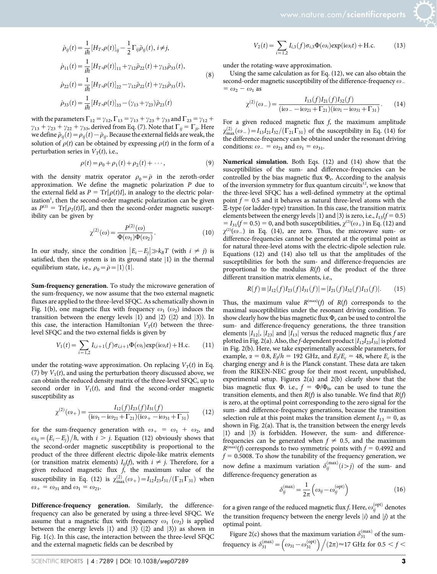$$
\sum_{i=1}^{n} \frac{1}{i}
$$

$$
\dot{\rho}_{ij}(t) = \frac{1}{i\hbar} \left[ H_T, \rho(t) \right]_{ij} - \frac{1}{2} \Gamma_{ij} \tilde{\rho}_{ij}(t), i \neq j,
$$
\n
$$
\dot{\rho}_{11}(t) = \frac{1}{i\hbar} \left[ H_T, \rho(t) \right]_{11} + \gamma_{12} \tilde{\rho}_{22}(t) + \gamma_{13} \tilde{\rho}_{33}(t),
$$
\n
$$
\dot{\rho}_{22}(t) = \frac{1}{i\hbar} \left[ H_T, \rho(t) \right]_{22} - \gamma_{12} \tilde{\rho}_{22}(t) + \gamma_{23} \tilde{\rho}_{33}(t),
$$
\n
$$
\dot{\rho}_{33}(t) = \frac{1}{i\hbar} \left[ H_T, \rho(t) \right]_{33} - (\gamma_{13} + \gamma_{23}) \tilde{\rho}_{23}(t)
$$
\n(8)

with the parameters  $\Gamma_{12} = \gamma_{12}$ ,  $\Gamma_{13} = \gamma_{13} + \gamma_{23} + \gamma_{33}$  and  $\Gamma_{23} = \gamma_{12} + \gamma_{23}$  $\gamma_{13} + \gamma_{23} + \gamma_{22} + \gamma_{33}$ , derived from Eq. (7). Note that  $\Gamma_{ij} = \Gamma_{ji}$ . Here we define  $\tilde{\rho}_{ij}(t)$   $=$   $\rho_{ij}(t)$   $\bar{\rho}_{ij}$ . Because the external fields are weak, the solution of  $\rho(t)$  can be obtained by expressing  $\rho(t)$  in the form of a perturbation series in  $V_T(t)$ , i.e.,

$$
\rho(t) = \rho_0 + \rho_1(t) + \rho_2(t) + \cdots, \qquad (9)
$$

with the density matrix operator  $\rho_0 = \overline{\rho}$  in the zeroth-order approximation. We define the magnetic polarization P due to the external field as  $P = Tr[\rho(t)I]$ , in analogy to the electric polarization<sup>1</sup>, then the second-order magnetic polarization can be given as  $P^{(2)} = Tr[\rho_2(t)I]$ , and then the second-order magnetic susceptibility can be given by

$$
\chi^{(2)}(\omega) = \frac{P^{(2)}(\omega)}{\Phi(\omega_1)\Phi(\omega_2)}.\tag{10}
$$

In our study, since the condition  $|E_i - E_j| \gg k_B T$  (with  $i \neq j$ ) is satisfied, then the system is in its ground state  $|1\rangle$  in the thermal equilibrium state, i.e.,  $\rho_0 = \bar{\rho} = |1\rangle\langle\overline{1}|$ .

Sum-frequency generation. To study the microwave generation of the sum-frequency, we now assume that the two external magnetic fluxes are applied to the three-level SFQC. As schematically shown in Fig. 1(b), one magnetic flux with frequency  $\omega_1$  ( $\omega_2$ ) induces the transition between the energy levels  $|1\rangle$  and  $|2\rangle$  ( $|2\rangle$  and  $|3\rangle$ ). In this case, the interaction Hamiltonian  $V_T(t)$  between the threelevel SFQC and the two external fields is given by

$$
V_1(t) = \sum_{i=1,2} I_{i,i+1}(f)\sigma_{i,i+1}\Phi(\omega_i) \exp(i\omega_i t) + \text{H.c.}
$$
 (11)

under the rotating-wave approximation. On replacing  $V_T(t)$  in Eq. (7) by  $V_1(t)$ , and using the perturbation theory discussed above, we can obtain the reduced density matrix of the three-level SFQC, up to second order in  $V_1(t)$ , and find the second-order magnetic susceptibility as

$$
\chi^{(2)}(\omega_{+}) = \frac{I_{12}(f)I_{23}(f)I_{31}(f)}{(i\omega_{1} - i\omega_{21} + \Gamma_{21})(i\omega_{+} - i\omega_{31} + \Gamma_{31})}
$$
(12)

for the sum-frequency generation with  $\omega_+ = \omega_1 + \omega_2$ , and  $\omega_{ij} = (E_i - E_j)/\hbar$ , with  $i > j$ . Equation (12) obviously shows that the second-order magnetic susceptibility is proportional to the product of the three different electric dipole-like matrix elements (or transition matrix elements)  $I_{ij}(f)$ , with  $i \neq j$ . Therefore, for a given reduced magnetic flux  $f$ , the maximum value of the susceptibility in Eq. (12) is  $\chi_{\text{max}}^{(2)}(\omega_+) = I_{12}I_{23}I_{31}/(\Gamma_{21}\Gamma_{31})$  when  $\omega_+ = \omega_{31}$  and  $\omega_1 = \omega_{21}$ .

Difference-frequency generation. Similarly, the differencefrequency can also be generated by using a three-level SFQC. We assume that a magnetic flux with frequency  $\omega_1$  ( $\omega_2$ ) is applied between the energy levels  $|1\rangle$  and  $|3\rangle$  ( $|2\rangle$  and  $|3\rangle$ ) as shown in Fig. 1(c). In this case, the interaction between the three-level SFQC and the external magnetic fields can be described by

$$
V_2(t) = \sum_{i=1,2} I_{i,3}(f)\sigma_{i,3}\Phi(\omega_i) \exp(i\omega_i t) + \text{H.c.}
$$
 (13)

under the rotating-wave approximation.

Using the same calculation as for Eq. (12), we can also obtain the second-order magnetic susceptibility of the difference-frequency  $\omega$  $= \omega_2 - \omega_1$  as

$$
\chi^{(2)}(\omega_{-}) = \frac{I_{13}(f)I_{21}(f)I_{32}(f)}{(i\omega_{-} - i\omega_{21} + \Gamma_{21})(i\omega_{1} - i\omega_{31} + \Gamma_{31})}.
$$
 (14)

For a given reduced magnetic flux  $f$ , the maximum amplitude  $\chi^{(2)}_{\text{max}}(\omega_-)=I_{13}I_{21}I_{32}/(\Gamma_{21}\Gamma_{31})$  of the susceptibility in Eq. (14) for the difference-frequency can be obtained under the resonant driving conditions:  $\omega = \omega_{21}$  and  $\omega_1 = \omega_{31}$ .

Numerical simulation. Both Eqs. (12) and (14) show that the susceptibilities of the sum- and difference-frequencies can be controlled by the bias magnetic flux  $\Phi_e$ . According to the analysis of the inversion symmetry for flux quantum circuits<sup>12</sup>, we know that the three-level SFQC has a well-defined symmetry at the optimal point  $f = 0.5$  and it behaves as natural three-level atoms with the  $E$ -type (or ladder-type) transition. In this case, the transition matrix elements between the energy levels  $|1\rangle$  and  $|3\rangle$  is zero, i.e.,  $I_{13}(f = 0.5)$  $I_3 = I_{31}(f = 0.5) = 0$ , and both susceptibilities,  $\chi^{(2)}(\omega_+)$  in Eq. (12) and  $\chi^{(2)}(\omega)$  in Eq. (14), are zero. Thus, the microwave sum- or difference-frequencies cannot be generated at the optimal point as for natural three-level atoms with the electric-dipole selection rule. Equations (12) and (14) also tell us that the amplitudes of the susceptibilities for both the sum- and difference-frequencies are proportional to the modulus  $R(f)$  of the product of the three different transition matrix elements, i.e.,

$$
R(f) \equiv |I_{12}(f)I_{23}(f)I_{31}(f)| = |I_{21}(f)I_{32}(f)I_{13}(f)|. \tag{15}
$$

Thus, the maximum value  $R^{(\text{max})}(f)$  of  $R(f)$  corresponds to the maximal susceptibilities under the resonant driving condition. To show clearly how the bias magnetic flux  $\Phi_e$  can be used to control the sum- and difference-frequency generations, the three transition elements  $|I_{12}|$ ,  $|I_{23}|$  and  $|I_{13}|$  versus the reduced magnetic flux f are plotted in Fig. 2(a). Also, the f-dependent product  $|I_{12}I_{23}I_{31}|$  is plotted in Fig. 2(b). Here, we take experimentally accessible parameters, for example,  $\alpha = 0.8$ ,  $E_J/h = 192$  GHz, and  $E_J/E_c = 48$ , where  $E_c$  is the charging energy and  $h$  is the Planck constant. These data are taken from the RIKEN-NEC group for their most recent, unpublished, experimental setup. Figures 2(a) and 2(b) clearly show that the bias magnetic flux  $\Phi$ . i.e.,  $f = \Phi/\Phi_0$ , can be used to tune the transition elements, and then  $R(f)$  is also tunable. We find that  $R(f)$ is zero, at the optimal point corresponding to the zero signal for the sum- and difference-frequency generations, because the transition selection rule at this point makes the transition element  $I_{13} = 0$ , as shown in Fig. 2(a). That is, the transition between the energy levels  $|1\rangle$  and  $|3\rangle$  is forbidden. However, the sum- and differencefrequencies can be generated when  $f \neq 0.5$ , and the maximum  $R^{(\text{max})}(f)$  corresponds to two symmetric points with  $f = 0.4992$  and  $f = 0.5008$ . To show the tunability of the frequency generation, we now define a maximum variation  $\delta_{ij}^{(\text{max})}(i>j)$  of the sum- and difference-frequency generation as

$$
\delta_{ij}^{(\text{max})} = \frac{1}{2\pi} \left( \omega_{ij} - \omega_{ij}^{(\text{opt})} \right) \tag{16}
$$

for a given range of the reduced magnetic flux f. Here,  $\omega_{ij}^{\mathrm{(opt)}}$  denotes the transition frequency between the energy levels  $|i\rangle$  and  $|i\rangle$  at the optimal point.

Figure 2(c) shows that the maximum variation  $\delta_{31}^{(\text{max})}$  of the sum-Frequency is  $\delta_{31}^{(\text{max})} = \left(\omega_{31} - \omega_{31}^{(\text{opt})}\right) / (2\pi) \approx 17 \text{ GHz for } 0.5 < f <$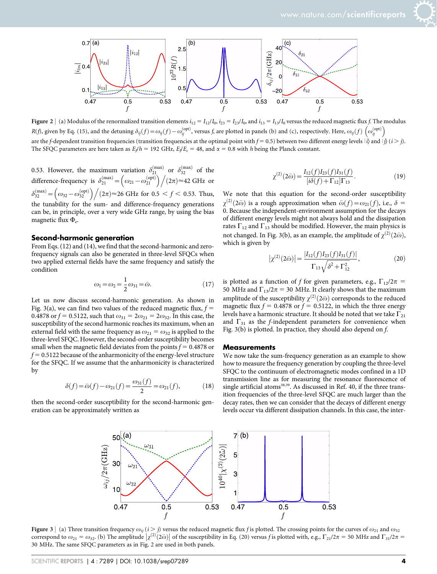

Figure 2 | (a) Modulus of the renormalized transition elements  $i_{12} = I_{12}/I_0$ ,  $i_{23} = I_{23}/I_0$ , and  $i_{13} = I_{13}/I_0$  versus the reduced magnetic flux f. The modulus R(f), given by Eq. (15), and the detuning  $\delta_{ij}(f) = \omega_{ij}(f) - \omega_{ij}^{(\text{opt})}$ , versus f, are plotted in panels (b) and (c), respectively. Here,  $\omega_{ij}(f) (\omega_{ij}^{(\text{opt})})$ are the f-dependent transition frequencies (transition frequencies at the optimal point with  $f = 0.5$ ) between two different energy levels  $|\vec{i}\rangle$  and  $|\vec{j}\rangle$  ( $i > j$ ). The SFQC parameters are here taken as  $E_l/h = 192$  GHz,  $E_l/E_c = 48$ , and  $\alpha = 0.8$  with h being the Planck constant.

0.53. However, the maximum variation  $\delta_{21}^{(\text{max})}$  or  $\delta_{32}^{(\text{max})}$  of the difference-frequency is  $\delta_{21}^{(\text{max})} = \left(\omega_{21} - \omega_{21}^{(\text{opt})}\right) / (2\pi) \approx 42 \text{ GHz or}$  $\delta_{32}^{(\text{max})} = \left(\omega_{32} - \omega_{32}^{(\text{opt})}\right) \Big/ (2\pi) \approx 26 \text{ GHz for } 0.5 < f < 0.53. \text{ Thus,}$ the tunability for the sum- and difference-frequency generations can be, in principle, over a very wide GHz range, by using the bias magnetic flux  $\Phi_e$ .

#### Second-harmonic generation

From Eqs. (12) and (14), we find that the second-harmonic and zerofrequency signals can also be generated in three-level SFQCs when two applied external fields have the same frequency and satisfy the condition

$$
\omega_1 = \omega_2 = \frac{1}{2}\omega_{31} = \bar{\omega}.
$$
 (17)

Let us now discuss second-harmonic generation. As shown in Fig. 3(a), we can find two values of the reduced magnetic flux,  $f =$ 0.4878 or  $f = 0.5122$ , such that  $\omega_{31} = 2\omega_{21} = 2\omega_{32}$ . In this case, the susceptibility of the second harmonic reaches its maximum, when an external field with the same frequency as  $\omega_{21} = \omega_{32}$  is applied to the three-level SFQC. However, the second-order susceptibility becomes small when the magnetic field deviates from the points  $f = 0.4878$  or  $f = 0.5122$  because of the anharmonicity of the energy-level structure for the SFQC. If we assume that the anharmonicity is characterized by

$$
\delta(f) = \bar{\omega}(f) - \omega_{21}(f) = \frac{\omega_{31}(f)}{2} = \omega_{21}(f),\tag{18}
$$

then the second-order susceptibility for the second-harmonic generation can be approximately written as

$$
\chi^{(2)}(2\bar{\omega}) = \frac{I_{12}(f)I_{23}(f)I_{31}(f)}{[i\delta(f) + \Gamma_{12}]\Gamma_{13}}.
$$
\n(19)

We note that this equation for the second-order susceptibility  $\chi^{(2)}(2\bar{\omega})$  is a rough approximation when  $\bar{\omega}(f) = \omega_{21}(f)$ , i.e.,  $\delta =$ 0. Because the independent-environment assumption for the decays of different energy levels might not always hold and the dissipation rates  $\Gamma_{12}$  and  $\Gamma_{13}$  should be modified. However, the main physics is not changed. In Fig. 3(b), as an example, the amplitude of  $\chi^{(2)}(2\bar{\omega})$ , which is given by

$$
\left|\chi^{(2)}(2\bar{\omega})\right| = \frac{|I_{12}(f)I_{23}(f)I_{31}(f)|}{\Gamma_{13}\sqrt{\delta^2 + \Gamma_{12}^2}},\tag{20}
$$

is plotted as a function of f for given parameters, e.g.,  $\Gamma_{12}/2\pi$  = 50 MHz and  $\Gamma_{13}/2\pi = 30$  MHz. It clearly shows that the maximum amplitude of the susceptibility  $\chi^{(2)}(2\bar{\omega})$  corresponds to the reduced magnetic flux  $f = 0.4878$  or  $f = 0.5122$ , in which the three energy levels have a harmonic structure. It should be noted that we take  $\Gamma_{21}$ and  $\Gamma_{31}$  as the *f*-independent parameters for convenience when Fig. 3(b) is plotted. In practice, they should also depend on f.

#### **Measurements**

We now take the sum-frequency generation as an example to show how to measure the frequency generation by coupling the three-level SFQC to the continuum of electromagnetic modes confined in a 1D transmission line as for measuring the resonance fluorescence of single artificial atoms<sup>38,39</sup>. As discussed in Ref. 40, if the three transition frequencies of the three-level SFQC are much larger than the decay rates, then we can consider that the decays of different energy levels occur via different dissipation channels. In this case, the inter-



Figure 3 | (a) Three transition frequency  $\omega_{ij}$  ( $i > j$ ) versus the reduced magnetic flux f is plotted. The crossing points for the curves of  $\omega_{21}$  and  $\omega_{32}$ Expart  $S_{\perp}$  (a) The chaismon requency  $\omega_{ij}$  ( $\epsilon$ )) versus the reduced magnetic max) is protect. The crossing points for the curves of  $\omega_{21}$  and  $\omega_{32}$  correspond to  $\omega_{21} = \omega_{32}$ . (b) The amplitude  $\chi^{(2)}(2$ 30 MHz. The same SFQC parameters as in Fig. 2 are used in both panels.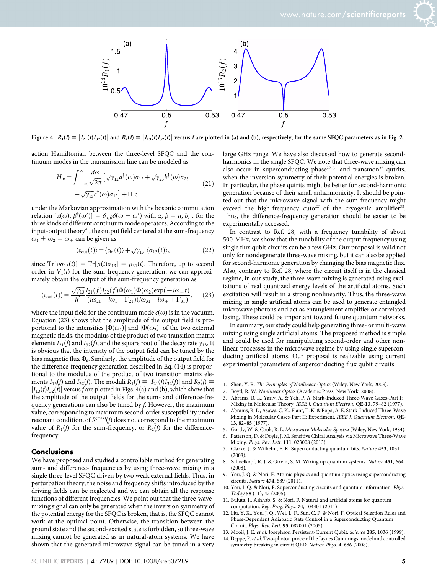

Figure 4  $R_1(f) = |I_{21}(f)I_{32}(f)|$  and  $R_2(f) = |I_{13}(f)I_{32}(f)|$  versus f are plotted in (a) and (b), respectively, for the same SFQC parameters as in Fig. 2.

action Hamiltonian between the three-level SFQC and the continuum modes in the transmission line can be modeled as

$$
H_{\rm in} = \int_{-\infty}^{\infty} \frac{d\omega}{\sqrt{2\pi}} \left[ \sqrt{\gamma_{12}} a^{\dagger}(\omega) \sigma_{12} + \sqrt{\gamma_{23}} b^{\dagger}(\omega) \sigma_{23} \right. \\ + \sqrt{\gamma_{13}} c^{\dagger}(\omega) \sigma_{13} \right] + \text{H.c.}
$$
\n(21)

under the Markovian approximation with the bosonic commutation relation  $[\alpha(\omega), \beta^{\dagger}(\omega')] = \delta_{\alpha,\beta} \delta(\omega - \omega')$  with  $\alpha, \beta = a, b, c$  for the three kinds of different continuum mode operators. According to the input-output theory $41$ , the output field centered at the sum-frequency  $\omega_1 + \omega_2 = \omega_+$  can be given as

$$
\langle c_{\text{out}}(t) \rangle = \langle c_{\text{in}}(t) \rangle + \sqrt{\gamma_{13}} \langle \sigma_{13}(t) \rangle, \tag{22}
$$

since  $\text{Tr}[\rho \sigma_{13}(t)] = \text{Tr}[\rho(t) \sigma_{13}] = \rho_{31}(t)$ . Therefore, up to second order in  $V_1(t)$  for the sum-frequency generation, we can approximately obtain the output of the sum-frequency generation as

$$
\langle c_{\text{out}}(t) \rangle = \frac{\sqrt{\gamma_{13}}}{\hbar^2} \frac{I_{21}(f)I_{32}(f)\Phi(\omega_1)\Phi(\omega_2)\exp(-i\omega_+ t)}{(i\omega_{21} - i\omega_1 + \Gamma_{21})(i\omega_{31} - i\omega_+ + \Gamma_{31})}, \quad (23)
$$

where the input field for the continuum mode  $c(\omega)$  is in the vacuum. Equation (23) shows that the amplitude of the output field is proportional to the intensities  $|\Phi(\omega_1)|$  and  $|\Phi(\omega_2)|$  of the two external magnetic fields, the modulus of the product of two transition matrix elements  $I_{21}(f)$  and  $I_{32}(f)$ , and the square root of the decay rate  $\gamma_{13}$ . It is obvious that the intensity of the output field can be tuned by the bias magnetic flux  $\Phi_e$ . Similarly, the amplitude of the output field for the difference-frequency generation described in Eq. (14) is proportional to the modulus of the product of two transition matrix elements  $I_{13}(f)$  and  $I_{32}(f)$ . The moduli  $R_1(f) \equiv |I_{21}(f)I_{32}(f)|$  and  $R_2(f) \equiv$  $|I_{13}(f)I_{32}(f)|$  versus f are plotted in Figs. 4(a) and (b), which show that the amplitude of the output fields for the sum- and difference-frequency generations can also be tuned by f. However, the maximum value, corresponding to maximum second-order susceptibility under resonant condition, of  $R^{(\text{max})}(f)$  does not correspond to the maximum value of  $R_1(f)$  for the sum-frequency, or  $R_2(f)$  for the differencefrequency.

#### **Conclusions**

We have proposed and studied a controllable method for generating sum- and difference- frequencies by using three-wave mixing in a single three-level SFQC driven by two weak external fields. Thus, in perturbation theory, the noise and frequency shifts introduced by the driving fields can be neglected and we can obtain all the response functions of different frequencies. We point out that the three-wavemixing signal can only be generated when the inversion symmetry of the potential energy for the SFQC is broken, that is, the SFQC cannot work at the optimal point. Otherwise, the transition between the ground state and the second-excited state is forbidden, so three-wave mixing cannot be generated as in natural-atom systems. We have shown that the generated microwave signal can be tuned in a very

large GHz range. We have also discussed how to generate secondharmonics in the single SFQC. We note that three-wave mixing can also occur in superconducting phase<sup>29-31</sup> and transmon<sup>32</sup> qutrits, when the inversion symmetry of their potential energies is broken. In particular, the phase qutrits might be better for second-harmonic generation because of their small anharmonicity. It should be pointed out that the microwave signal with the sum-frequency might exceed the high-frequency cutoff of the cryogenic amplifier<sup>38</sup>. Thus, the difference-frequency generation should be easier to be experimentally accessed.

In contrast to Ref. 28, with a frequency tunability of about 500 MHz, we show that the tunability of the output frequency using single flux qubit circuits can be a few GHz. Our proposal is valid not only for nondegenerate three-wave mixing, but it can also be applied for second-harmonic generation by changing the bias magnetic flux. Also, contrary to Ref. 28, where the circuit itself is in the classical regime, in our study, the three-wave mixing is generated using excitations of real quantized energy levels of the artificial atoms. Such excitation will result in a strong nonlinearity. Thus, the three-wave mixing in single artificial atoms can be used to generate entangled microwave photons and act as entanglement amplifier or correlated lasing. These could be important toward future quantum networks.

In summary, our study could help generating three- or multi-wave mixing using single artificial atoms. The proposed method is simple and could be used for manipulating second-order and other nonlinear processes in the microwave regime by using single superconducting artificial atoms. Our proposal is realizable using current experimental parameters of superconducting flux qubit circuits.

- 1. Shen, Y. R. The Principles of Nonlinear Optics (Wiley, New York, 2003).
- 2. Boyd, R. W. Nonlinear Optics (Academic Press, New York, 2008).
- 3. Abrams, R. L., Yariv, A. & Yeh, P. A. Stark-Induced Three-Wave Gases-Part I: Mixing in Molecular Theory. IEEE J. Quantum Electron. QE-13, 79–82 (1977).
- 4. Abrams, R. L., Asawa, C. K., Plant, T. K. & Popa, A. E. Stark-Induced Three-Wave Mixing in Molecular Gases-Part II: Experiment. IEEE J. Quantum Electron. QE-13, 82–85 (1977).
- 5. Gordy, W. & Cook, R. L. Microwave Molecular Spectra (Wiley, New York, 1984).
- 6. Patterson, D. & Doyle, J. M. Sensitive Chiral Analysis via Microwave Three-Wave Mixing. Phys. Rev. Lett. 111, 023008 (2013).
- 7. Clarke, J. & Wilhelm, F. K. Superconducting quantum bits. Nature 453, 1031  $(2008)$
- 8. Schoelkopf, R. J. & Girvin, S. M. Wiring up quantum systems. Nature 451, 664 (2008).
- 9. You, J. Q. & Nori, F. Atomic physics and quantum optics using superconducting circuits. Nature 474, 589 (2011).
- 10. You, J. Q. & Nori, F. Superconducting circuits and quantum information. Phys. Today 58 (11), 42 (2005).
- 11. Buluta, I., Ashhab, S. & Nori, F. Natural and artificial atoms for quantum computation. Rep. Prog. Phys. 74, 104401 (2011).
- 12. Liu, Y. X., You, J. Q., Wei, L. F., Sun, C. P. & Nori, F. Optical Selection Rules and Phase-Dependent Adiabatic State Control in a Superconducting Quantum Circuit. Phys. Rev. Lett. 95, 087001 (2005).
- 13. Mooij, J. E. et al. Josephson Persistent-Current Qubit. Science 285, 1036 (1999).
- 14. Deppe, F. et al. Two-photon probe of the Jaynes Cummings model and controlled symmetry breaking in circuit QED. Nature Phys. 4, 686 (2008).